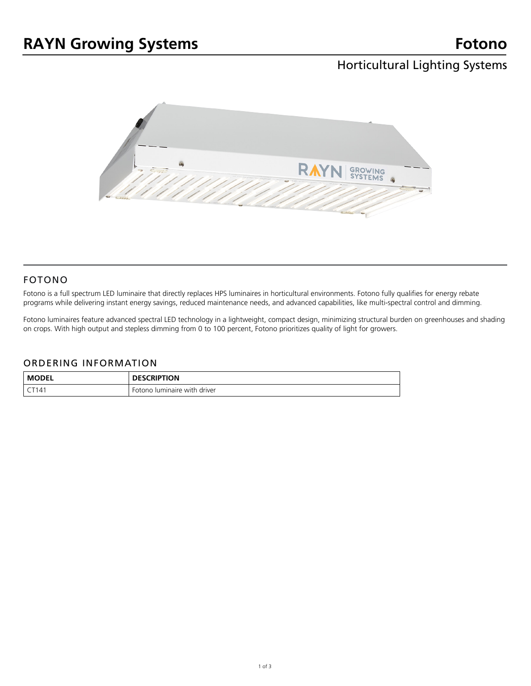## Horticultural Lighting Systems



### FOTONO

Fotono is a full spectrum LED luminaire that directly replaces HPS luminaires in horticultural environments. Fotono fully qualifies for energy rebate programs while delivering instant energy savings, reduced maintenance needs, and advanced capabilities, like multi-spectral control and dimming.

Fotono luminaires feature advanced spectral LED technology in a lightweight, compact design, minimizing structural burden on greenhouses and shading on crops. With high output and stepless dimming from 0 to 100 percent, Fotono prioritizes quality of light for growers.

#### ORDERING INFORMATION

| <b>MODEL</b> | <b>DESCRIPTION</b>           |
|--------------|------------------------------|
| T141         | Fotono luminaire with driver |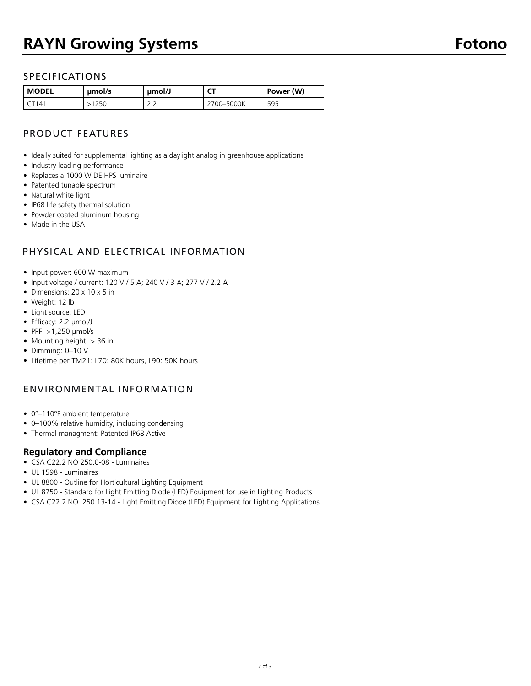### SPECIFICATIONS

| <b>MODEL</b> | umol/s | umol/J               | $-$<br>``  | Power (W) |
|--------------|--------|----------------------|------------|-----------|
| $14^{\circ}$ | 250    | $\sim$ $\sim$<br>ے ۔ | 2700-5000K | 595       |

## PRODUCT FEATURES

- Ideally suited for supplemental lighting as a daylight analog in greenhouse applications
- Industry leading performance
- Replaces a 1000 W DE HPS luminaire
- Patented tunable spectrum
- Natural white light
- IP68 life safety thermal solution
- Powder coated aluminum housing
- Made in the USA

## PHYSICAL AND ELECTRICAL INFORMATION

- Input power: 600 W maximum
- Input voltage / current: 120 V / 5 A; 240 V / 3 A; 277 V / 2.2 A
- Dimensions: 20 x 10 x 5 in
- Weight: 12 lb
- Light source: LED
- Efficacy: 2.2 μmol/J
- PPF: >1,250 μmol/s
- Mounting height: > 36 in
- Dimming: 0–10 V
- Lifetime per TM21: L70: 80K hours, L90: 50K hours

### ENVIRONMENTAL INFORMATION

- 0°–110°F ambient temperature
- 0–100% relative humidity, including condensing
- Thermal managment: Patented IP68 Active

### **Regulatory and Compliance**

- CSA C22.2 NO 250.0-08 Luminaires
- UL 1598 Luminaires
- UL 8800 Outline for Horticultural Lighting Equipment
- UL 8750 Standard for Light Emitting Diode (LED) Equipment for use in Lighting Products
- CSA C22.2 NO. 250.13-14 Light Emitting Diode (LED) Equipment for Lighting Applications